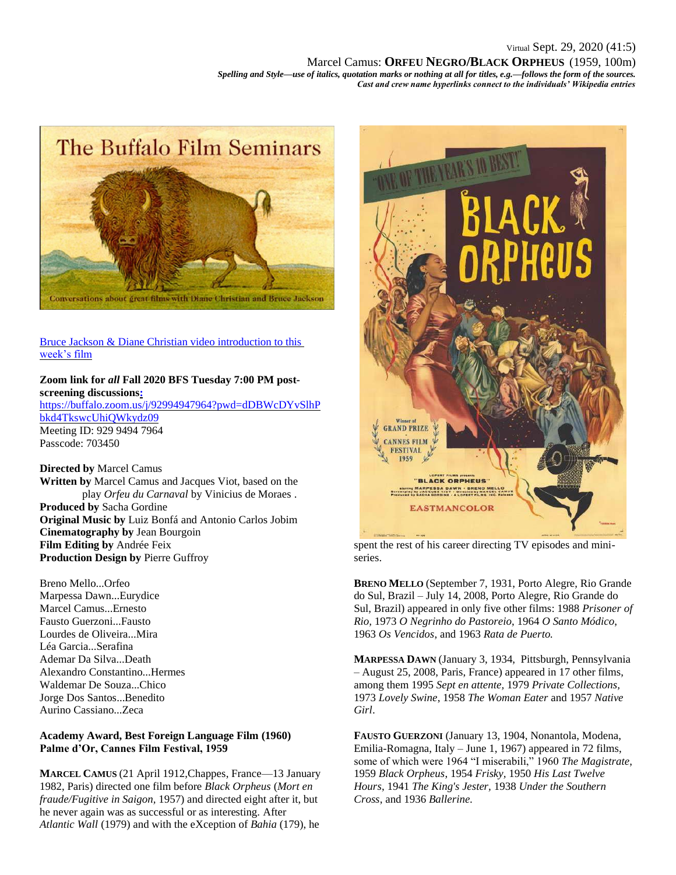#### Virtual Sept. 29, 2020 (41:5) Marcel Camus: **ORFEU NEGRO/BLACK ORPHEUS** (1959, 100m) *Spelling and Style—use of italics, quotation marks or nothing at all for titles, e.g.—follows the form of the sources. Cast and crew name hyperlinks connect to the individuals' Wikipedia entries*



[Bruce Jackson & Diane Christian video introduction to this](https://vimeo.com/462421589)  [week's film](https://vimeo.com/462421589)

## **Zoom link for** *all* **Fall 2020 BFS Tuesday 7:00 PM postscreening discussions:**

[https://buffalo.zoom.us/j/92994947964?pwd=dDBWcDYvSlhP](https://buffalo.zoom.us/j/92994947964?pwd=dDBWcDYvSlhPbkd4TkswcUhiQWkydz09) [bkd4TkswcUhiQWkydz09](https://buffalo.zoom.us/j/92994947964?pwd=dDBWcDYvSlhPbkd4TkswcUhiQWkydz09) Meeting ID: 929 9494 7964 Passcode: 703450

#### **Directed by** Marcel Camus

**Written by** Marcel Camus and Jacques Viot, based on the play *Orfeu du Carnaval* by Vinicius de Moraes . **Produced by** Sacha Gordine **Original Music by** Luiz Bonfá and Antonio Carlos Jobim **Cinematography by** Jean Bourgoin **Film Editing by** Andrée Feix **Production Design by** Pierre Guffroy

Breno Mello...Orfeo Marpessa Dawn...Eurydice Marcel Camus...Ernesto Fausto Guerzoni...Fausto Lourdes de Oliveira...Mira Léa Garcia...Serafina Ademar Da Silva...Death Alexandro Constantino...Hermes Waldemar De Souza...Chico Jorge Dos Santos...Benedito Aurino Cassiano...Zeca

### **Academy Award, Best Foreign Language Film (1960) Palme d'Or, Cannes Film Festival, 1959**

**MARCEL CAMUS** (21 April 1912,Chappes, France—13 January 1982, Paris) directed one film before *Black Orpheus* (*Mort en fraude/Fugitive in Saigon,* 1957) and directed eight after it, but he never again was as successful or as interesting. After *Atlantic Wall* (1979) and with the eXception of *Bahia* (179), he



spent the rest of his career directing TV episodes and miniseries.

**BRENO MELLO** (September 7, 1931, Porto Alegre, Rio Grande do Sul, Brazil – July 14, 2008, Porto Alegre, Rio Grande do Sul, Brazil) appeared in only five other films: 1988 *Prisoner of Rio,* 1973 *O Negrinho do Pastoreio*, 1964 *O Santo Módico*, 1963 *Os Vencidos*, and 1963 *Rata de Puerto.*

**MARPESSA DAWN** (January 3, 1934, Pittsburgh, Pennsylvania – August 25, 2008, Paris, France) appeared in 17 other films, among them 1995 *Sept en attente,* 1979 *Private Collections,* 1973 *Lovely Swine*, 1958 *The Woman Eater* and 1957 *Native Girl*.

**FAUSTO GUERZONI** (January 13, 1904, Nonantola, Modena, Emilia-Romagna, Italy – June 1, 1967) appeared in 72 films, some of which were 1964 "I miserabili," 1960 *The Magistrate*, 1959 *Black Orpheus*, 1954 *Frisky,* 1950 *His Last Twelve Hours*, 1941 *The King's Jester,* 1938 *Under the Southern Cross*, and 1936 *Ballerine.*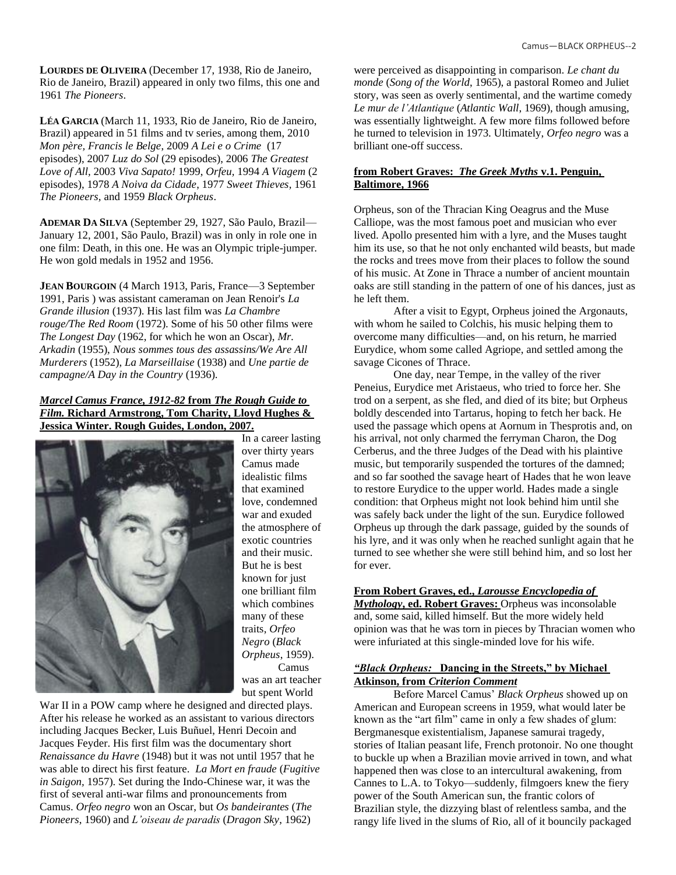**LÉA GARCIA** (March 11, 1933, Rio de Janeiro, Rio de Janeiro, Brazil) appeared in 51 films and tv series, among them, 2010 *Mon père, Francis le Belge*, 2009 *A Lei e o Crime* (17 episodes), 2007 *Luz do Sol* (29 episodes), 2006 *The Greatest Love of All,* 2003 *Viva Sapato!* 1999, *Orfeu,* 1994 *A Viagem* (2 episodes), 1978 *A Noiva da Cidade*, 1977 *Sweet Thieves,* 1961 *The Pioneers,* and 1959 *Black Orpheus*.

**ADEMAR DA SILVA** (September 29, 1927, São Paulo, Brazil— January 12, 2001, São Paulo, Brazil) was in only in role one in one film: Death, in this one. He was an Olympic triple-jumper. He won gold medals in 1952 and 1956.

**JEAN BOURGOIN** (4 March 1913, Paris, France—3 September 1991, Paris ) was assistant cameraman on Jean Renoir's *La Grande illusion* (1937). His last film was *La Chambre rouge/The Red Room* (1972). Some of his 50 other films were *The Longest Day* (1962, for which he won an Oscar), *Mr. Arkadin* (1955), *Nous sommes tous des assassins/We Are All Murderers* (1952), *La Marseillaise* (1938) and *Une partie de campagne/A Day in the Country* (1936).

# *Marcel Camus France, 1912-82* **from** *The Rough Guide to Film.* **Richard Armstrong, Tom Charity, Lloyd Hughes & Jessica Winter. Rough Guides, London, 2007.**



In a career lasting over thirty years Camus made idealistic films that examined love, condemned war and exuded the atmosphere of exotic countries and their music. But he is best known for just one brilliant film which combines many of these traits, *Orfeo Negro* (*Black Orpheus*, 1959). Camus was an art teacher but spent World

War II in a POW camp where he designed and directed plays. After his release he worked as an assistant to various directors including Jacques Becker, Luis Buñuel, Henri Decoin and Jacques Feyder. His first film was the documentary short *Renaissance du Havre* (1948) but it was not until 1957 that he was able to direct his first feature. *La Mort en fraude* (*Fugitive in Saigon,* 1957). Set during the Indo-Chinese war, it was the first of several anti-war films and pronouncements from Camus. *Orfeo negro* won an Oscar, but *Os bandeirantes* (*The Pioneers*, 1960) and *L'oiseau de paradis* (*Dragon Sky*, 1962)

were perceived as disappointing in comparison. *Le chant du monde* (*Song of the World*, 1965), a pastoral Romeo and Juliet story, was seen as overly sentimental, and the wartime comedy *Le mur de l'Atlantique* (*Atlantic Wall*, 1969), though amusing, was essentially lightweight. A few more films followed before he turned to television in 1973. Ultimately, *Orfeo negro* was a brilliant one-off success.

## **from Robert Graves:** *The Greek Myths* **v.1. Penguin, Baltimore, 1966**

Orpheus, son of the Thracian King Oeagrus and the Muse Calliope, was the most famous poet and musician who ever lived. Apollo presented him with a lyre, and the Muses taught him its use, so that he not only enchanted wild beasts, but made the rocks and trees move from their places to follow the sound of his music. At Zone in Thrace a number of ancient mountain oaks are still standing in the pattern of one of his dances, just as he left them.

After a visit to Egypt, Orpheus joined the Argonauts, with whom he sailed to Colchis, his music helping them to overcome many difficulties—and, on his return, he married Eurydice, whom some called Agriope, and settled among the savage Cicones of Thrace.

One day, near Tempe, in the valley of the river Peneius, Eurydice met Aristaeus, who tried to force her. She trod on a serpent, as she fled, and died of its bite; but Orpheus boldly descended into Tartarus, hoping to fetch her back. He used the passage which opens at Aornum in Thesprotis and, on his arrival, not only charmed the ferryman Charon, the Dog Cerberus, and the three Judges of the Dead with his plaintive music, but temporarily suspended the tortures of the damned; and so far soothed the savage heart of Hades that he won leave to restore Eurydice to the upper world. Hades made a single condition: that Orpheus might not look behind him until she was safely back under the light of the sun. Eurydice followed Orpheus up through the dark passage, guided by the sounds of his lyre, and it was only when he reached sunlight again that he turned to see whether she were still behind him, and so lost her for ever.

### **From Robert Graves, ed.,** *Larousse Encyclopedia of*

*Mythology***, ed. Robert Graves:** Orpheus was inconsolable and, some said, killed himself. But the more widely held opinion was that he was torn in pieces by Thracian women who were infuriated at this single-minded love for his wife.

### *"Black Orpheus:* **Dancing in the Streets," by Michael Atkinson, from** *Criterion Comment*

Before Marcel Camus' *Black Orpheus* showed up on American and European screens in 1959, what would later be known as the "art film" came in only a few shades of glum: Bergmanesque existentialism, Japanese samurai tragedy, stories of Italian peasant life, French protonoir. No one thought to buckle up when a Brazilian movie arrived in town, and what happened then was close to an intercultural awakening, from Cannes to L.A. to Tokyo—suddenly, filmgoers knew the fiery power of the South American sun, the frantic colors of Brazilian style, the dizzying blast of relentless samba, and the rangy life lived in the slums of Rio, all of it bouncily packaged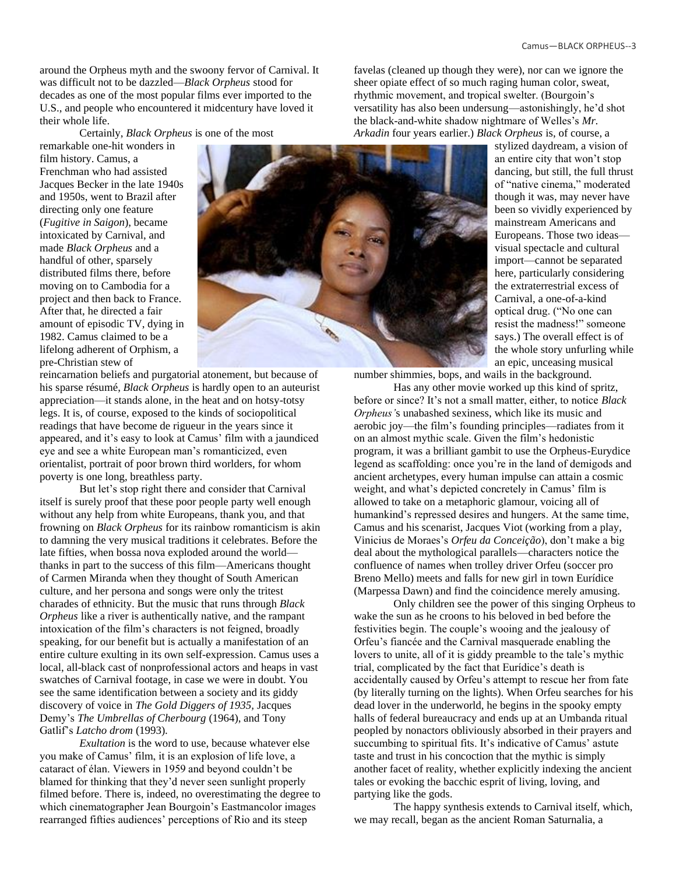around the Orpheus myth and the swoony fervor of Carnival. It was difficult not to be dazzled—*Black Orpheus* stood for decades as one of the most popular films ever imported to the U.S., and people who encountered it midcentury have loved it their whole life.

Certainly, *Black Orpheus* is one of the most

remarkable one-hit wonders in film history. Camus, a Frenchman who had assisted Jacques Becker in the late 1940s and 1950s, went to Brazil after directing only one feature (*Fugitive in Saigon*), became intoxicated by Carnival, and made *Black Orpheus* and a handful of other, sparsely distributed films there, before moving on to Cambodia for a project and then back to France. After that, he directed a fair amount of episodic TV, dying in 1982. Camus claimed to be a lifelong adherent of Orphism, a pre-Christian stew of



reincarnation beliefs and purgatorial atonement, but because of his sparse résumé, *Black Orpheus* is hardly open to an auteurist appreciation—it stands alone, in the heat and on hotsy-totsy legs. It is, of course, exposed to the kinds of sociopolitical readings that have become de rigueur in the years since it appeared, and it's easy to look at Camus' film with a jaundiced eye and see a white European man's romanticized, even orientalist, portrait of poor brown third worlders, for whom poverty is one long, breathless party.

But let's stop right there and consider that Carnival itself is surely proof that these poor people party well enough without any help from white Europeans, thank you, and that frowning on *Black Orpheus* for its rainbow romanticism is akin to damning the very musical traditions it celebrates. Before the late fifties, when bossa nova exploded around the world thanks in part to the success of this film—Americans thought of Carmen Miranda when they thought of South American culture, and her persona and songs were only the tritest charades of ethnicity. But the music that runs through *Black Orpheus* like a river is authentically native, and the rampant intoxication of the film's characters is not feigned, broadly speaking, for our benefit but is actually a manifestation of an entire culture exulting in its own self-expression. Camus uses a local, all-black cast of nonprofessional actors and heaps in vast swatches of Carnival footage, in case we were in doubt. You see the same identification between a society and its giddy discovery of voice in *The Gold Diggers of 1935,* Jacques Demy's *The Umbrellas of Cherbourg* (1964), and Tony Gatlif's *Latcho drom* (1993).

*Exultation* is the word to use, because whatever else you make of Camus' film, it is an explosion of life love, a cataract of élan. Viewers in 1959 and beyond couldn't be blamed for thinking that they'd never seen sunlight properly filmed before. There is, indeed, no overestimating the degree to which cinematographer Jean Bourgoin's Eastmancolor images rearranged fifties audiences' perceptions of Rio and its steep

favelas (cleaned up though they were), nor can we ignore the sheer opiate effect of so much raging human color, sweat, rhythmic movement, and tropical swelter. (Bourgoin's versatility has also been undersung—astonishingly, he'd shot the black-and-white shadow nightmare of Welles's *Mr. Arkadin* four years earlier.) *Black Orpheus* is, of course, a

> stylized daydream, a vision of an entire city that won't stop dancing, but still, the full thrust of "native cinema," moderated though it was, may never have been so vividly experienced by mainstream Americans and Europeans. Those two ideas visual spectacle and cultural import—cannot be separated here, particularly considering the extraterrestrial excess of Carnival, a one-of-a-kind optical drug. ("No one can resist the madness!" someone says.) The overall effect is of the whole story unfurling while an epic, unceasing musical

number shimmies, bops, and wails in the background.

Has any other movie worked up this kind of spritz, before or since? It's not a small matter, either, to notice *Black Orpheus'*s unabashed sexiness, which like its music and aerobic joy—the film's founding principles—radiates from it on an almost mythic scale. Given the film's hedonistic program, it was a brilliant gambit to use the Orpheus-Eurydice legend as scaffolding: once you're in the land of demigods and ancient archetypes, every human impulse can attain a cosmic weight, and what's depicted concretely in Camus' film is allowed to take on a metaphoric glamour, voicing all of humankind's repressed desires and hungers. At the same time, Camus and his scenarist, Jacques Viot (working from a play, Vinicius de Moraes's *Orfeu da Conceição*), don't make a big deal about the mythological parallels—characters notice the confluence of names when trolley driver Orfeu (soccer pro Breno Mello) meets and falls for new girl in town Eurídice (Marpessa Dawn) and find the coincidence merely amusing.

Only children see the power of this singing Orpheus to wake the sun as he croons to his beloved in bed before the festivities begin. The couple's wooing and the jealousy of Orfeu's fiancée and the Carnival masquerade enabling the lovers to unite, all of it is giddy preamble to the tale's mythic trial, complicated by the fact that Eurídice's death is accidentally caused by Orfeu's attempt to rescue her from fate (by literally turning on the lights). When Orfeu searches for his dead lover in the underworld, he begins in the spooky empty halls of federal bureaucracy and ends up at an Umbanda ritual peopled by nonactors obliviously absorbed in their prayers and succumbing to spiritual fits. It's indicative of Camus' astute taste and trust in his concoction that the mythic is simply another facet of reality, whether explicitly indexing the ancient tales or evoking the bacchic esprit of living, loving, and partying like the gods.

The happy synthesis extends to Carnival itself, which, we may recall, began as the ancient Roman Saturnalia, a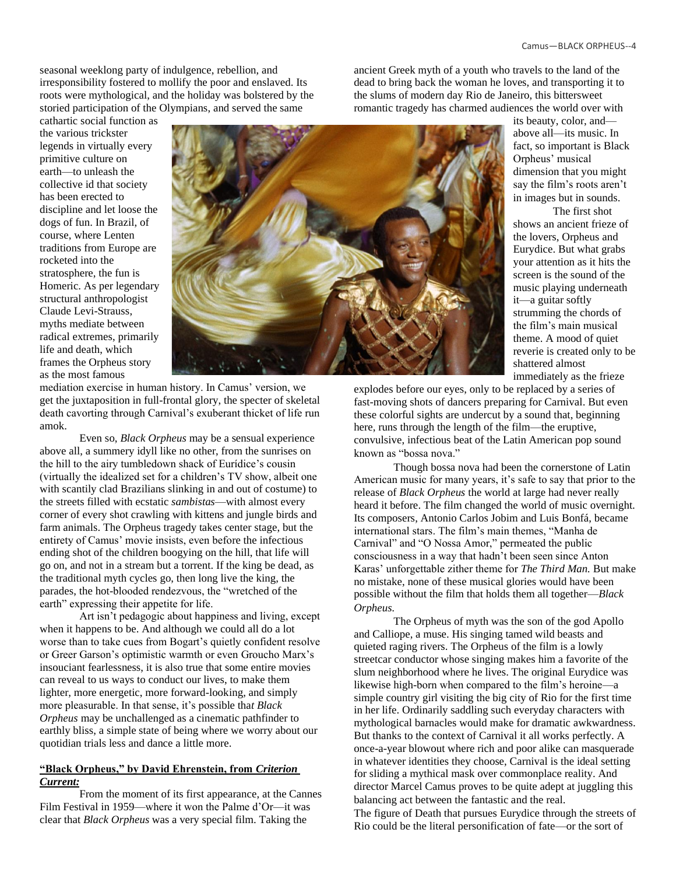seasonal weeklong party of indulgence, rebellion, and irresponsibility fostered to mollify the poor and enslaved. Its roots were mythological, and the holiday was bolstered by the storied participation of the Olympians, and served the same

cathartic social function as the various trickster legends in virtually every primitive culture on earth—to unleash the collective id that society has been erected to discipline and let loose the dogs of fun. In Brazil, of course, where Lenten traditions from Europe are rocketed into the stratosphere, the fun is Homeric. As per legendary structural anthropologist Claude Levi-Strauss, myths mediate between radical extremes, primarily life and death, which frames the Orpheus story as the most famous



mediation exercise in human history. In Camus' version, we get the juxtaposition in full-frontal glory, the specter of skeletal death cavorting through Carnival's exuberant thicket of life run amok.

Even so, *Black Orpheus* may be a sensual experience above all, a summery idyll like no other, from the sunrises on the hill to the airy tumbledown shack of Eurídice's cousin (virtually the idealized set for a children's TV show, albeit one with scantily clad Brazilians slinking in and out of costume) to the streets filled with ecstatic *sambistas*—with almost every corner of every shot crawling with kittens and jungle birds and farm animals. The Orpheus tragedy takes center stage, but the entirety of Camus' movie insists, even before the infectious ending shot of the children boogying on the hill, that life will go on, and not in a stream but a torrent. If the king be dead, as the traditional myth cycles go, then long live the king, the parades, the hot-blooded rendezvous, the "wretched of the earth" expressing their appetite for life.

Art isn't pedagogic about happiness and living, except when it happens to be. And although we could all do a lot worse than to take cues from Bogart's quietly confident resolve or Greer Garson's optimistic warmth or even Groucho Marx's insouciant fearlessness, it is also true that some entire movies can reveal to us ways to conduct our lives, to make them lighter, more energetic, more forward-looking, and simply more pleasurable. In that sense, it's possible tha*t Black Orpheus* may be unchallenged as a cinematic pathfinder to earthly bliss, a simple state of being where we worry about our quotidian trials less and dance a little more.

## **"Black Orpheus," by David Ehrenstein, from** *Criterion Current:*

From the moment of its first appearance, at the Cannes Film Festival in 1959—where it won the Palme d'Or—it was clear that *Black Orpheus* was a very special film. Taking the

ancient Greek myth of a youth who travels to the land of the dead to bring back the woman he loves, and transporting it to the slums of modern day Rio de Janeiro, this bittersweet romantic tragedy has charmed audiences the world over with

its beauty, color, and above all—its music. In fact, so important is Black Orpheus' musical dimension that you might say the film's roots aren't in images but in sounds.

The first shot shows an ancient frieze of the lovers, Orpheus and Eurydice. But what grabs your attention as it hits the screen is the sound of the music playing underneath it—a guitar softly strumming the chords of the film's main musical theme. A mood of quiet reverie is created only to be shattered almost immediately as the frieze

explodes before our eyes, only to be replaced by a series of fast-moving shots of dancers preparing for Carnival. But even these colorful sights are undercut by a sound that, beginning here, runs through the length of the film—the eruptive, convulsive, infectious beat of the Latin American pop sound known as "bossa nova."

Though bossa nova had been the cornerstone of Latin American music for many years, it's safe to say that prior to the release of *Black Orpheus* the world at large had never really heard it before. The film changed the world of music overnight. Its composers, Antonio Carlos Jobim and Luis Bonfá, became international stars. The film's main themes, "Manha de Carnival" and "O Nossa Amor," permeated the public consciousness in a way that hadn't been seen since Anton Karas' unforgettable zither theme for *The Third Man.* But make no mistake, none of these musical glories would have been possible without the film that holds them all together—*Black Orpheus.*

The Orpheus of myth was the son of the god Apollo and Calliope, a muse. His singing tamed wild beasts and quieted raging rivers. The Orpheus of the film is a lowly streetcar conductor whose singing makes him a favorite of the slum neighborhood where he lives. The original Eurydice was likewise high-born when compared to the film's heroine—a simple country girl visiting the big city of Rio for the first time in her life. Ordinarily saddling such everyday characters with mythological barnacles would make for dramatic awkwardness. But thanks to the context of Carnival it all works perfectly. A once-a-year blowout where rich and poor alike can masquerade in whatever identities they choose, Carnival is the ideal setting for sliding a mythical mask over commonplace reality. And director Marcel Camus proves to be quite adept at juggling this balancing act between the fantastic and the real. The figure of Death that pursues Eurydice through the streets of Rio could be the literal personification of fate—or the sort of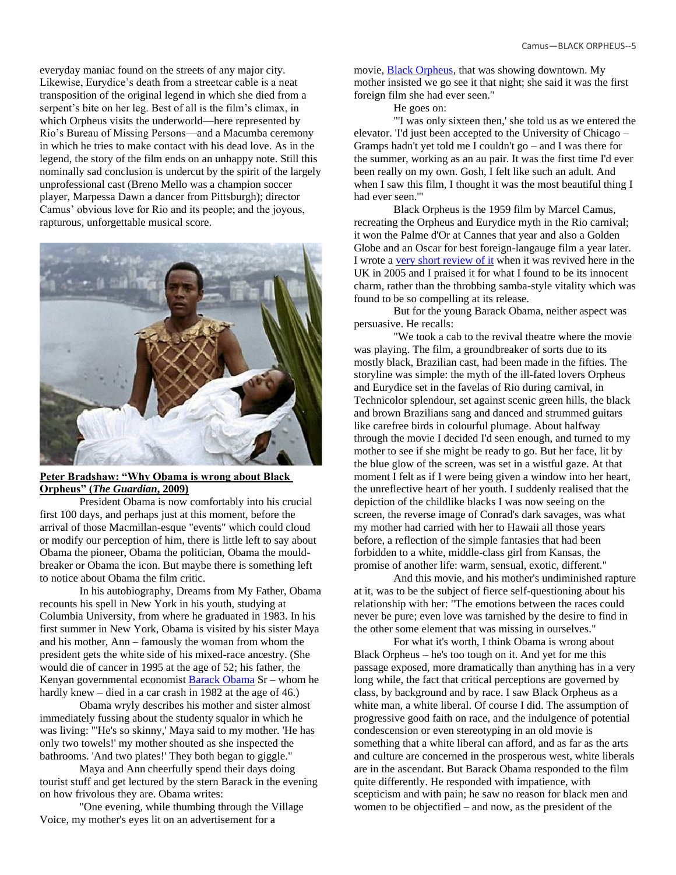everyday maniac found on the streets of any major city. Likewise, Eurydice's death from a streetcar cable is a neat transposition of the original legend in which she died from a serpent's bite on her leg. Best of all is the film's climax, in which Orpheus visits the underworld—here represented by Rio's Bureau of Missing Persons—and a Macumba ceremony in which he tries to make contact with his dead love. As in the legend, the story of the film ends on an unhappy note. Still this nominally sad conclusion is undercut by the spirit of the largely unprofessional cast (Breno Mello was a champion soccer player, Marpessa Dawn a dancer from Pittsburgh); director Camus' obvious love for Rio and its people; and the joyous, rapturous, unforgettable musical score.



### **Peter Bradshaw: "Why Obama is wrong about Black Orpheus" (***The Guardian***, 2009)**

President Obama is now comfortably into his crucial first 100 days, and perhaps just at this moment, before the arrival of those Macmillan-esque "events" which could cloud or modify our perception of him, there is little left to say about Obama the pioneer, Obama the politician, Obama the mouldbreaker or Obama the icon. But maybe there is something left to notice about Obama the film critic.

In his autobiography, Dreams from My Father, Obama recounts his spell in New York in his youth, studying at Columbia University, from where he graduated in 1983. In his first summer in New York, Obama is visited by his sister Maya and his mother, Ann – famously the woman from whom the president gets the white side of his mixed-race ancestry. (She would die of cancer in 1995 at the age of 52; his father, the Kenyan governmental economist [Barack Obama](https://www.theguardian.com/us-news/barack-obama) Sr – whom he hardly knew – died in a car crash in 1982 at the age of 46.)

Obama wryly describes his mother and sister almost immediately fussing about the studenty squalor in which he was living: "'He's so skinny,' Maya said to my mother. 'He has only two towels!' my mother shouted as she inspected the bathrooms. 'And two plates!' They both began to giggle."

Maya and Ann cheerfully spend their days doing tourist stuff and get lectured by the stern Barack in the evening on how frivolous they are. Obama writes:

"One evening, while thumbing through the Village Voice, my mother's eyes lit on an advertisement for a

movie, [Black Orpheus,](https://www.theguardian.com/film/black-orpheus) that was showing downtown. My mother insisted we go see it that night; she said it was the first foreign film she had ever seen."

He goes on:

"'I was only sixteen then,' she told us as we entered the elevator. 'I'd just been accepted to the University of Chicago – Gramps hadn't yet told me I couldn't go – and I was there for the summer, working as an au pair. It was the first time I'd ever been really on my own. Gosh, I felt like such an adult. And when I saw this film, I thought it was the most beautiful thing I had ever seen.'"

Black Orpheus is the 1959 film by Marcel Camus, recreating the Orpheus and Eurydice myth in the Rio carnival; it won the Palme d'Or at Cannes that year and also a Golden Globe and an Oscar for best foreign-langauge film a year later. I wrote a [very short review of it](http://www.theguardian.com/culture/2005/nov/04/5) when it was revived here in the UK in 2005 and I praised it for what I found to be its innocent charm, rather than the throbbing samba-style vitality which was found to be so compelling at its release.

But for the young Barack Obama, neither aspect was persuasive. He recalls:

"We took a cab to the revival theatre where the movie was playing. The film, a groundbreaker of sorts due to its mostly black, Brazilian cast, had been made in the fifties. The storyline was simple: the myth of the ill-fated lovers Orpheus and Eurydice set in the favelas of Rio during carnival, in Technicolor splendour, set against scenic green hills, the black and brown Brazilians sang and danced and strummed guitars like carefree birds in colourful plumage. About halfway through the movie I decided I'd seen enough, and turned to my mother to see if she might be ready to go. But her face, lit by the blue glow of the screen, was set in a wistful gaze. At that moment I felt as if I were being given a window into her heart, the unreflective heart of her youth. I suddenly realised that the depiction of the childlike blacks I was now seeing on the screen, the reverse image of Conrad's dark savages, was what my mother had carried with her to Hawaii all those years before, a reflection of the simple fantasies that had been forbidden to a white, middle-class girl from Kansas, the promise of another life: warm, sensual, exotic, different."

And this movie, and his mother's undiminished rapture at it, was to be the subject of fierce self-questioning about his relationship with her: "The emotions between the races could never be pure; even love was tarnished by the desire to find in the other some element that was missing in ourselves."

For what it's worth, I think Obama is wrong about Black Orpheus – he's too tough on it. And yet for me this passage exposed, more dramatically than anything has in a very long while, the fact that critical perceptions are governed by class, by background and by race. I saw Black Orpheus as a white man, a white liberal. Of course I did. The assumption of progressive good faith on race, and the indulgence of potential condescension or even stereotyping in an old movie is something that a white liberal can afford, and as far as the arts and culture are concerned in the prosperous west, white liberals are in the ascendant. But Barack Obama responded to the film quite differently. He responded with impatience, with scepticism and with pain; he saw no reason for black men and women to be objectified – and now, as the president of the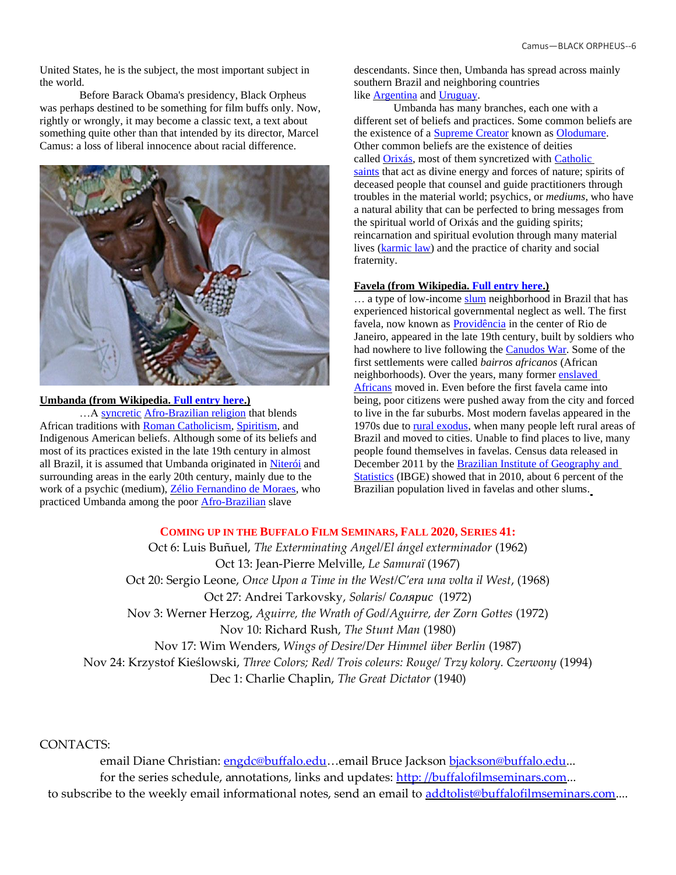United States, he is the subject, the most important subject in the world.

Before Barack Obama's presidency, Black Orpheus was perhaps destined to be something for film buffs only. Now, rightly or wrongly, it may become a classic text, a text about something quite other than that intended by its director, Marcel Camus: a loss of liberal innocence about racial difference.



# **Umbanda (from Wikipedia. [Full entry here.](https://en.wikipedia.org/wiki/Umbanda))**

... A [syncretic](https://en.wikipedia.org/wiki/Syncretism) [Afro-Brazilian religion](https://en.wikipedia.org/wiki/Afro-Brazilian_religions) that blends African traditions with [Roman Catholicism,](https://en.wikipedia.org/wiki/Catholicism) [Spiritism,](https://en.wikipedia.org/wiki/Spiritism) and Indigenous American beliefs. Although some of its beliefs and most of its practices existed in the late 19th century in almost all Brazil, it is assumed that Umbanda originated in [Niterói](https://en.wikipedia.org/wiki/Niter%C3%B3i) and surrounding areas in the early 20th century, mainly due to the work of a psychic (medium), [Zélio Fernandino de Moraes,](https://en.wikipedia.org/wiki/Z%C3%A9lio_Fernandino_de_Moraes) who practiced Umbanda among the poor [Afro-Brazilian](https://en.wikipedia.org/wiki/Afro-Brazilians) slave

descendants. Since then, Umbanda has spread across mainly southern Brazil and neighboring countries like **[Argentina](https://en.wikipedia.org/wiki/Argentina)** and **Uruguay**.

Umbanda has many branches, each one with a different set of beliefs and practices. Some common beliefs are the existence of a [Supreme Creator](https://en.wikipedia.org/wiki/Supreme_Creator) known as [Olodumare.](https://en.wikipedia.org/wiki/Olodumare) Other common beliefs are the existence of deities called [Orixás,](https://en.wikipedia.org/wiki/Orisha) most of them syncretized with [Catholic](https://en.wikipedia.org/wiki/Saints)  [saints](https://en.wikipedia.org/wiki/Saints) that act as divine energy and forces of nature; spirits of deceased people that counsel and guide practitioners through troubles in the material world; psychics, or *mediums*, who have a natural ability that can be perfected to bring messages from the spiritual world of Orixás and the guiding spirits; reincarnation and spiritual evolution through many material lives [\(karmic law\)](https://en.wikipedia.org/wiki/Karma) and the practice of charity and social fraternity.

## **Favela (from Wikipedia[. Full entry here.](https://en.wikipedia.org/wiki/Favela))**

… a type of low-income [slum](https://en.wikipedia.org/wiki/Slum) neighborhood in Brazil that has experienced historical governmental neglect as well. The first favela, now known as [Providência](https://en.wikipedia.org/wiki/Morro_da_Provid%C3%AAncia) in the center of Rio de Janeiro, appeared in the late 19th century, built by soldiers who had nowhere to live following the [Canudos War.](https://en.wikipedia.org/wiki/War_of_Canudos) Some of the first settlements were called *bairros africanos* (African neighborhoods). Over the years, many former [enslaved](https://en.wikipedia.org/wiki/Slavery_in_Brazil)  [Africans](https://en.wikipedia.org/wiki/Slavery_in_Brazil) moved in. Even before the first favela came into being, poor citizens were pushed away from the city and forced to live in the far suburbs. Most modern favelas appeared in the 1970s due to [rural exodus,](https://en.wikipedia.org/wiki/Rural_flight) when many people left rural areas of Brazil and moved to cities. Unable to find places to live, many people found themselves in favelas. Census data released in December 2011 by the [Brazilian Institute of Geography and](https://en.wikipedia.org/wiki/Brazilian_Institute_of_Geography_and_Statistics)  [Statistics](https://en.wikipedia.org/wiki/Brazilian_Institute_of_Geography_and_Statistics) (IBGE) showed that in 2010, about 6 percent of the Brazilian population lived in favelas and other slums.

# **COMING UP IN THE BUFFALO FILM SEMINARS, FALL 2020, SERIES 41:**

Oct 6: Luis Buñuel, *The Exterminating Angel/El ángel exterminador* (1962) Oct 13: Jean-Pierre Melville, *Le Samuraï* (1967) Oct 20: Sergio Leone, *Once Upon a Time in the West/C'era una volta il West*, (1968) Oct 27: Andrei Tarkovsky, *Solaris/ Солярис* (1972) Nov 3: Werner Herzog, *Aguirre, the Wrath of God/Aguirre, der Zorn Gottes* (1972) Nov 10: Richard Rush, *The Stunt Man* (1980) Nov 17: Wim Wenders, *Wings of Desire/Der Himmel über Berlin* (1987) Nov 24: Krzystof Kieślowski, *Three Colors; Red/ Trois coleurs: Rouge/ Trzy kolory. Czerwony* (1994) Dec 1: Charlie Chaplin, *The Great Dictator* (1940)

# CONTACTS:

email Diane Christian: [engdc@buffalo.edu](mailto:engdc@buffalo.edu)...email Bruce Jackson [bjackson@buffalo.edu.](mailto:bjackson@buffalo.edu).. for the series schedule, annotations, links and updates: http://buffalofilmseminars.com... to subscribe to the weekly email informational notes, send an email to [addtolist@buffalofilmseminars.com.](mailto:addtolist@buffalofilmseminars.com)...